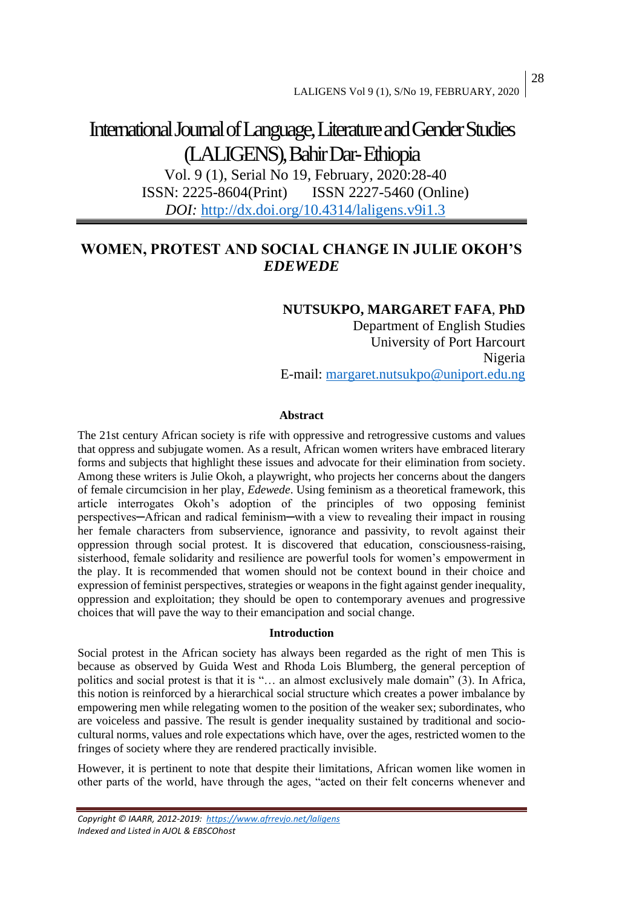# International Journal of Language, Literature and Gender Studies (LALIGENS), Bahir Dar-Ethiopia

Vol. 9 (1), Serial No 19, February, 2020:28-40 ISSN: 2225-8604(Print) ISSN 2227-5460 (Online) *DOI:* <http://dx.doi.org/10.4314/laligens.v9i1.3>

# **WOMEN, PROTEST AND SOCIAL CHANGE IN JULIE OKOH'S**  *EDEWEDE*

### **NUTSUKPO, MARGARET FAFA**, **PhD**

Department of English Studies University of Port Harcourt Nigeria E-mail: [margaret.nutsukpo@uniport.edu.ng](mailto:margaret.nutsukpo@uniport.edu.ng)

#### **Abstract**

The 21st century African society is rife with oppressive and retrogressive customs and values that oppress and subjugate women. As a result, African women writers have embraced literary forms and subjects that highlight these issues and advocate for their elimination from society. Among these writers is Julie Okoh, a playwright, who projects her concerns about the dangers of female circumcision in her play, *Edewede*. Using feminism as a theoretical framework, this article interrogates Okoh's adoption of the principles of two opposing feminist perspectives─African and radical feminism─with a view to revealing their impact in rousing her female characters from subservience, ignorance and passivity, to revolt against their oppression through social protest. It is discovered that education, consciousness-raising, sisterhood, female solidarity and resilience are powerful tools for women's empowerment in the play. It is recommended that women should not be context bound in their choice and expression of feminist perspectives, strategies or weapons in the fight against gender inequality, oppression and exploitation; they should be open to contemporary avenues and progressive choices that will pave the way to their emancipation and social change.

#### **Introduction**

Social protest in the African society has always been regarded as the right of men This is because as observed by Guida West and Rhoda Lois Blumberg, the general perception of politics and social protest is that it is "… an almost exclusively male domain" (3). In Africa, this notion is reinforced by a hierarchical social structure which creates a power imbalance by empowering men while relegating women to the position of the weaker sex; subordinates, who are voiceless and passive. The result is gender inequality sustained by traditional and sociocultural norms, values and role expectations which have, over the ages, restricted women to the fringes of society where they are rendered practically invisible.

However, it is pertinent to note that despite their limitations, African women like women in other parts of the world, have through the ages, "acted on their felt concerns whenever and

*Copyright © IAARR, 2012-2019: <https://www.afrrevjo.net/laligens> Indexed and Listed in AJOL & EBSCOhost*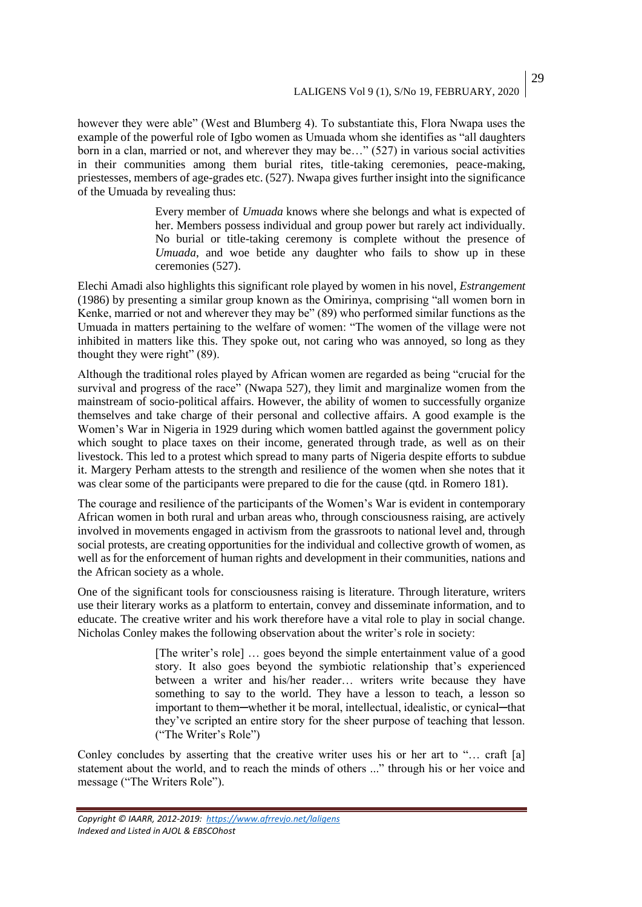however they were able" (West and Blumberg 4). To substantiate this, Flora Nwapa uses the example of the powerful role of Igbo women as Umuada whom she identifies as "all daughters born in a clan, married or not, and wherever they may be…" (527) in various social activities in their communities among them burial rites, title-taking ceremonies, peace-making, priestesses, members of age-grades etc. (527). Nwapa gives further insight into the significance of the Umuada by revealing thus:

> Every member of *Umuada* knows where she belongs and what is expected of her. Members possess individual and group power but rarely act individually. No burial or title-taking ceremony is complete without the presence of *Umuada*, and woe betide any daughter who fails to show up in these ceremonies (527).

Elechi Amadi also highlights this significant role played by women in his novel, *Estrangement* (1986) by presenting a similar group known as the Omirinya, comprising "all women born in Kenke, married or not and wherever they may be" (89) who performed similar functions as the Umuada in matters pertaining to the welfare of women: "The women of the village were not inhibited in matters like this. They spoke out, not caring who was annoyed, so long as they thought they were right" (89).

Although the traditional roles played by African women are regarded as being "crucial for the survival and progress of the race" (Nwapa 527), they limit and marginalize women from the mainstream of socio-political affairs. However, the ability of women to successfully organize themselves and take charge of their personal and collective affairs. A good example is the Women's War in Nigeria in 1929 during which women battled against the government policy which sought to place taxes on their income, generated through trade, as well as on their livestock. This led to a protest which spread to many parts of Nigeria despite efforts to subdue it. Margery Perham attests to the strength and resilience of the women when she notes that it was clear some of the participants were prepared to die for the cause (qtd. in Romero 181).

The courage and resilience of the participants of the Women's War is evident in contemporary African women in both rural and urban areas who, through consciousness raising, are actively involved in movements engaged in activism from the grassroots to national level and, through social protests, are creating opportunities for the individual and collective growth of women, as well as for the enforcement of human rights and development in their communities, nations and the African society as a whole.

One of the significant tools for consciousness raising is literature. Through literature, writers use their literary works as a platform to entertain, convey and disseminate information, and to educate. The creative writer and his work therefore have a vital role to play in social change. Nicholas Conley makes the following observation about the writer's role in society:

> [The writer's role] … goes beyond the simple entertainment value of a good story. It also goes beyond the symbiotic relationship that's experienced between a writer and his/her reader… writers write because they have something to say to the world. They have a lesson to teach, a lesson so important to them—whether it be moral, intellectual, idealistic, or cynical—that they've scripted an entire story for the sheer purpose of teaching that lesson. ("The Writer's Role")

Conley concludes by asserting that the creative writer uses his or her art to "... craft [a] statement about the world, and to reach the minds of others ..." through his or her voice and message ("The Writers Role").

*Copyright © IAARR, 2012-2019: <https://www.afrrevjo.net/laligens> Indexed and Listed in AJOL & EBSCOhost*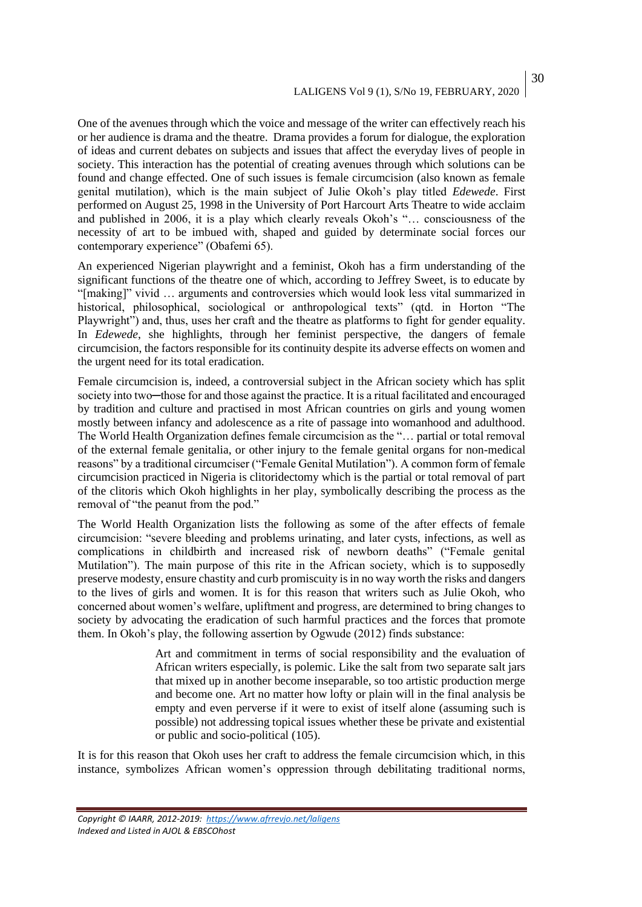## LALIGENS Vol 9 (1), S/No 19, FEBRUARY, 2020

One of the avenues through which the voice and message of the writer can effectively reach his or her audience is drama and the theatre. Drama provides a forum for dialogue, the exploration of ideas and current debates on subjects and issues that affect the everyday lives of people in society. This interaction has the potential of creating avenues through which solutions can be found and change effected. One of such issues is female circumcision (also known as female genital mutilation), which is the main subject of Julie Okoh's play titled *Edewede*. First performed on August 25, 1998 in the University of Port Harcourt Arts Theatre to wide acclaim and published in 2006, it is a play which clearly reveals Okoh's "… consciousness of the necessity of art to be imbued with, shaped and guided by determinate social forces our contemporary experience" (Obafemi 65).

An experienced Nigerian playwright and a feminist, Okoh has a firm understanding of the significant functions of the theatre one of which, according to Jeffrey Sweet, is to educate by "[making]" vivid … arguments and controversies which would look less vital summarized in historical, philosophical, sociological or anthropological texts" (qtd. in Horton "The Playwright") and, thus, uses her craft and the theatre as platforms to fight for gender equality. In *Edewede*, she highlights, through her feminist perspective, the dangers of female circumcision, the factors responsible for its continuity despite its adverse effects on women and the urgent need for its total eradication.

Female circumcision is, indeed, a controversial subject in the African society which has split society into two—those for and those against the practice. It is a ritual facilitated and encouraged by tradition and culture and practised in most African countries on girls and young women mostly between infancy and adolescence as a rite of passage into womanhood and adulthood. The World Health Organization defines female circumcision as the "… partial or total removal of the external female genitalia, or other injury to the female genital organs for non-medical reasons" by a traditional circumciser ("Female Genital Mutilation"). A common form of female circumcision practiced in Nigeria is clitoridectomy which is the partial or total removal of part of the clitoris which Okoh highlights in her play, symbolically describing the process as the removal of "the peanut from the pod."

The World Health Organization lists the following as some of the after effects of female circumcision: "severe bleeding and problems urinating, and later cysts, infections, as well as complications in childbirth and increased risk of newborn deaths" ("Female genital Mutilation"). The main purpose of this rite in the African society, which is to supposedly preserve modesty, ensure chastity and curb promiscuity is in no way worth the risks and dangers to the lives of girls and women. It is for this reason that writers such as Julie Okoh, who concerned about women's welfare, upliftment and progress, are determined to bring changes to society by advocating the eradication of such harmful practices and the forces that promote them. In Okoh's play, the following assertion by Ogwude (2012) finds substance:

> Art and commitment in terms of social responsibility and the evaluation of African writers especially, is polemic. Like the salt from two separate salt jars that mixed up in another become inseparable, so too artistic production merge and become one. Art no matter how lofty or plain will in the final analysis be empty and even perverse if it were to exist of itself alone (assuming such is possible) not addressing topical issues whether these be private and existential or public and socio-political (105).

It is for this reason that Okoh uses her craft to address the female circumcision which, in this instance, symbolizes African women's oppression through debilitating traditional norms,

*Copyright © IAARR, 2012-2019: <https://www.afrrevjo.net/laligens> Indexed and Listed in AJOL & EBSCOhost*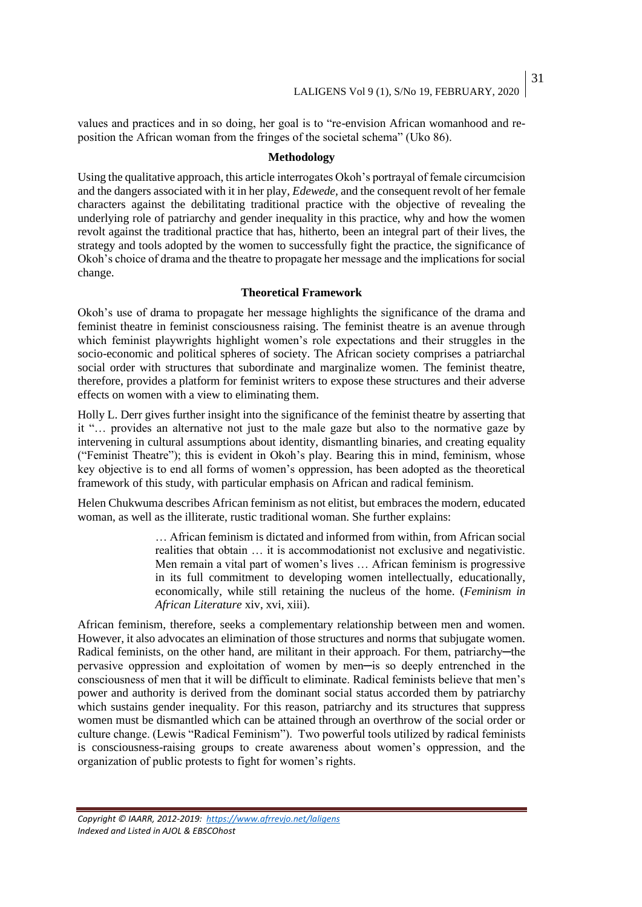values and practices and in so doing, her goal is to "re-envision African womanhood and reposition the African woman from the fringes of the societal schema" (Uko 86).

#### **Methodology**

Using the qualitative approach, this article interrogates Okoh's portrayal of female circumcision and the dangers associated with it in her play, *Edewede,* and the consequent revolt of her female characters against the debilitating traditional practice with the objective of revealing the underlying role of patriarchy and gender inequality in this practice, why and how the women revolt against the traditional practice that has, hitherto, been an integral part of their lives, the strategy and tools adopted by the women to successfully fight the practice, the significance of Okoh's choice of drama and the theatre to propagate her message and the implications for social change.

#### **Theoretical Framework**

Okoh's use of drama to propagate her message highlights the significance of the drama and feminist theatre in feminist consciousness raising. The feminist theatre is an avenue through which feminist playwrights highlight women's role expectations and their struggles in the socio-economic and political spheres of society. The African society comprises a patriarchal social order with structures that subordinate and marginalize women. The feminist theatre, therefore, provides a platform for feminist writers to expose these structures and their adverse effects on women with a view to eliminating them.

Holly L. Derr gives further insight into the significance of the feminist theatre by asserting that it "… provides an alternative not just to the male gaze but also to the normative gaze by intervening in cultural assumptions about identity, dismantling binaries, and creating equality ("Feminist Theatre"); this is evident in Okoh's play. Bearing this in mind, feminism, whose key objective is to end all forms of women's oppression, has been adopted as the theoretical framework of this study, with particular emphasis on African and radical feminism.

Helen Chukwuma describes African feminism as not elitist, but embraces the modern, educated woman, as well as the illiterate, rustic traditional woman. She further explains:

> … African feminism is dictated and informed from within, from African social realities that obtain … it is accommodationist not exclusive and negativistic. Men remain a vital part of women's lives … African feminism is progressive in its full commitment to developing women intellectually, educationally, economically, while still retaining the nucleus of the home. (*Feminism in African Literature* xiv, xvi, xiii).

African feminism, therefore, seeks a complementary relationship between men and women. However, it also advocates an elimination of those structures and norms that subjugate women. Radical feminists, on the other hand, are militant in their approach. For them, patriarchy—the pervasive oppression and exploitation of women by men─is so deeply entrenched in the consciousness of men that it will be difficult to eliminate. Radical feminists believe that men's power and authority is derived from the dominant social status accorded them by patriarchy which sustains gender inequality. For this reason, patriarchy and its structures that suppress women must be dismantled which can be attained through an overthrow of the social order or culture change. (Lewis "Radical Feminism"). Two powerful tools utilized by radical feminists is consciousness-raising groups to create awareness about women's oppression, and the organization of public protests to fight for women's rights.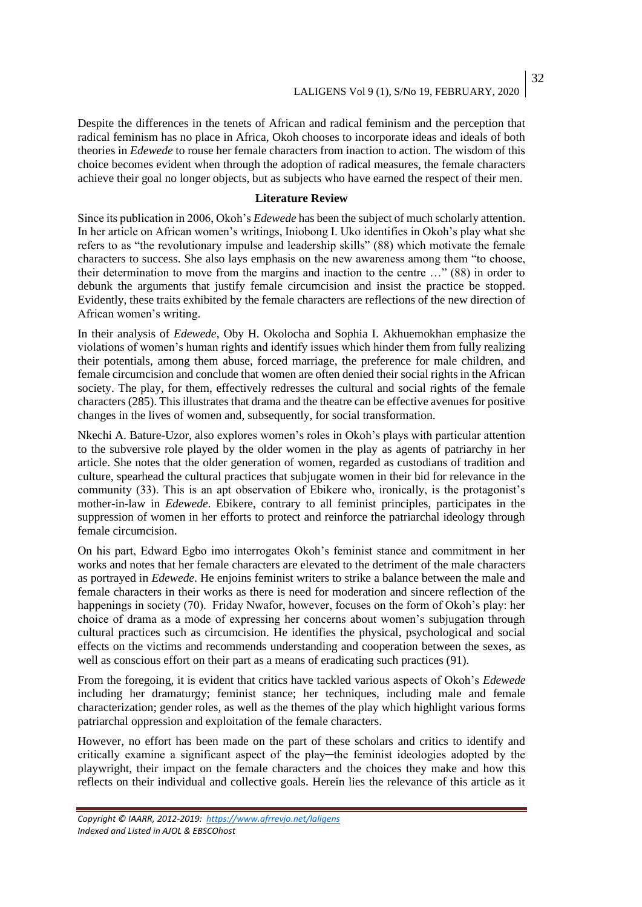32

Despite the differences in the tenets of African and radical feminism and the perception that radical feminism has no place in Africa, Okoh chooses to incorporate ideas and ideals of both theories in *Edewede* to rouse her female characters from inaction to action. The wisdom of this choice becomes evident when through the adoption of radical measures, the female characters achieve their goal no longer objects, but as subjects who have earned the respect of their men.

#### **Literature Review**

Since its publication in 2006, Okoh's *Edewede* has been the subject of much scholarly attention. In her article on African women's writings, Iniobong I. Uko identifies in Okoh's play what she refers to as "the revolutionary impulse and leadership skills" (88) which motivate the female characters to success. She also lays emphasis on the new awareness among them "to choose, their determination to move from the margins and inaction to the centre …" (88) in order to debunk the arguments that justify female circumcision and insist the practice be stopped. Evidently, these traits exhibited by the female characters are reflections of the new direction of African women's writing.

In their analysis of *Edewede*, Oby H. Okolocha and Sophia I. Akhuemokhan emphasize the violations of women's human rights and identify issues which hinder them from fully realizing their potentials, among them abuse, forced marriage, the preference for male children, and female circumcision and conclude that women are often denied their social rights in the African society. The play, for them, effectively redresses the cultural and social rights of the female characters (285). This illustrates that drama and the theatre can be effective avenues for positive changes in the lives of women and, subsequently, for social transformation.

Nkechi A. Bature-Uzor, also explores women's roles in Okoh's plays with particular attention to the subversive role played by the older women in the play as agents of patriarchy in her article. She notes that the older generation of women, regarded as custodians of tradition and culture, spearhead the cultural practices that subjugate women in their bid for relevance in the community (33). This is an apt observation of Ebikere who, ironically, is the protagonist's mother-in-law in *Edewede*. Ebikere, contrary to all feminist principles, participates in the suppression of women in her efforts to protect and reinforce the patriarchal ideology through female circumcision.

On his part, Edward Egbo imo interrogates Okoh's feminist stance and commitment in her works and notes that her female characters are elevated to the detriment of the male characters as portrayed in *Edewede*. He enjoins feminist writers to strike a balance between the male and female characters in their works as there is need for moderation and sincere reflection of the happenings in society (70). Friday Nwafor, however, focuses on the form of Okoh's play: her choice of drama as a mode of expressing her concerns about women's subjugation through cultural practices such as circumcision. He identifies the physical, psychological and social effects on the victims and recommends understanding and cooperation between the sexes, as well as conscious effort on their part as a means of eradicating such practices (91).

From the foregoing, it is evident that critics have tackled various aspects of Okoh's *Edewede*  including her dramaturgy; feminist stance; her techniques, including male and female characterization; gender roles, as well as the themes of the play which highlight various forms patriarchal oppression and exploitation of the female characters.

However, no effort has been made on the part of these scholars and critics to identify and critically examine a significant aspect of the play─the feminist ideologies adopted by the playwright, their impact on the female characters and the choices they make and how this reflects on their individual and collective goals. Herein lies the relevance of this article as it

*Copyright © IAARR, 2012-2019: <https://www.afrrevjo.net/laligens> Indexed and Listed in AJOL & EBSCOhost*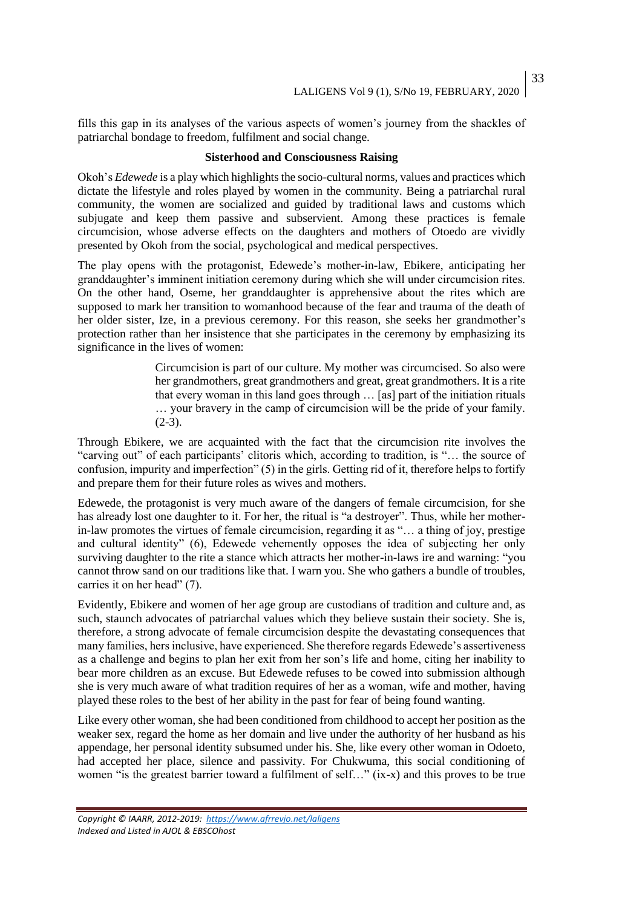fills this gap in its analyses of the various aspects of women's journey from the shackles of patriarchal bondage to freedom, fulfilment and social change.

#### **Sisterhood and Consciousness Raising**

Okoh's *Edewede* is a play which highlights the socio-cultural norms, values and practices which dictate the lifestyle and roles played by women in the community. Being a patriarchal rural community, the women are socialized and guided by traditional laws and customs which subjugate and keep them passive and subservient. Among these practices is female circumcision, whose adverse effects on the daughters and mothers of Otoedo are vividly presented by Okoh from the social, psychological and medical perspectives.

The play opens with the protagonist, Edewede's mother-in-law, Ebikere, anticipating her granddaughter's imminent initiation ceremony during which she will under circumcision rites. On the other hand, Oseme, her granddaughter is apprehensive about the rites which are supposed to mark her transition to womanhood because of the fear and trauma of the death of her older sister, Ize, in a previous ceremony. For this reason, she seeks her grandmother's protection rather than her insistence that she participates in the ceremony by emphasizing its significance in the lives of women:

> Circumcision is part of our culture. My mother was circumcised. So also were her grandmothers, great grandmothers and great, great grandmothers. It is a rite that every woman in this land goes through … [as] part of the initiation rituals … your bravery in the camp of circumcision will be the pride of your family.  $(2-3)$ .

Through Ebikere, we are acquainted with the fact that the circumcision rite involves the "carving out" of each participants' clitoris which, according to tradition, is "… the source of confusion, impurity and imperfection" (5) in the girls. Getting rid of it, therefore helps to fortify and prepare them for their future roles as wives and mothers.

Edewede, the protagonist is very much aware of the dangers of female circumcision, for she has already lost one daughter to it. For her, the ritual is "a destroyer". Thus, while her motherin-law promotes the virtues of female circumcision, regarding it as "… a thing of joy, prestige and cultural identity" (6), Edewede vehemently opposes the idea of subjecting her only surviving daughter to the rite a stance which attracts her mother-in-laws ire and warning: "you cannot throw sand on our traditions like that. I warn you. She who gathers a bundle of troubles, carries it on her head" (7).

Evidently, Ebikere and women of her age group are custodians of tradition and culture and, as such, staunch advocates of patriarchal values which they believe sustain their society. She is, therefore, a strong advocate of female circumcision despite the devastating consequences that many families, hers inclusive, have experienced. She therefore regards Edewede's assertiveness as a challenge and begins to plan her exit from her son's life and home, citing her inability to bear more children as an excuse. But Edewede refuses to be cowed into submission although she is very much aware of what tradition requires of her as a woman, wife and mother, having played these roles to the best of her ability in the past for fear of being found wanting.

Like every other woman, she had been conditioned from childhood to accept her position as the weaker sex, regard the home as her domain and live under the authority of her husband as his appendage, her personal identity subsumed under his. She, like every other woman in Odoeto, had accepted her place, silence and passivity. For Chukwuma, this social conditioning of women "is the greatest barrier toward a fulfilment of self…" (ix-x) and this proves to be true

*Copyright © IAARR, 2012-2019: <https://www.afrrevjo.net/laligens> Indexed and Listed in AJOL & EBSCOhost*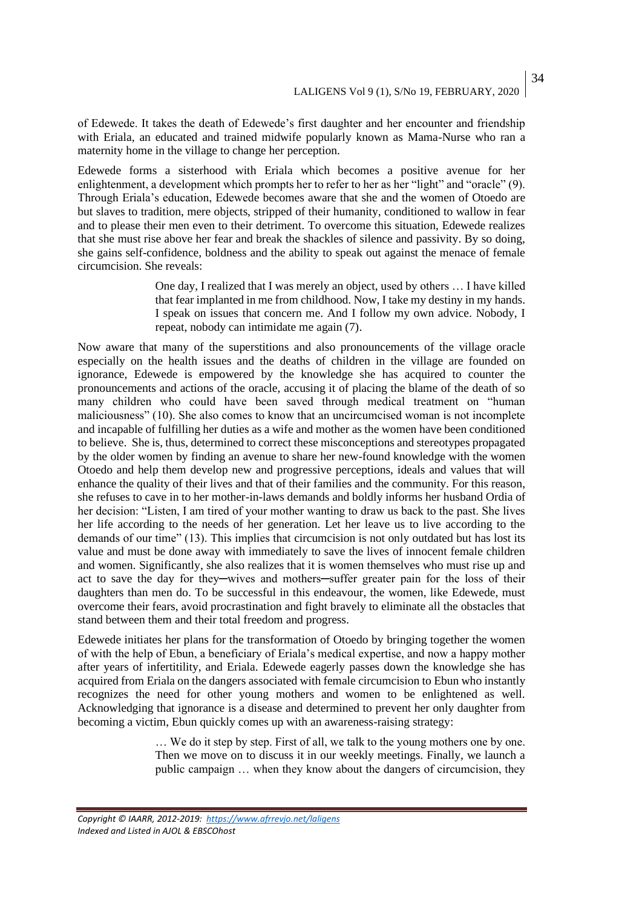of Edewede. It takes the death of Edewede's first daughter and her encounter and friendship with Eriala, an educated and trained midwife popularly known as Mama-Nurse who ran a maternity home in the village to change her perception.

Edewede forms a sisterhood with Eriala which becomes a positive avenue for her enlightenment, a development which prompts her to refer to her as her "light" and "oracle" (9). Through Eriala's education, Edewede becomes aware that she and the women of Otoedo are but slaves to tradition, mere objects, stripped of their humanity, conditioned to wallow in fear and to please their men even to their detriment. To overcome this situation, Edewede realizes that she must rise above her fear and break the shackles of silence and passivity. By so doing, she gains self-confidence, boldness and the ability to speak out against the menace of female circumcision. She reveals:

> One day, I realized that I was merely an object, used by others … I have killed that fear implanted in me from childhood. Now, I take my destiny in my hands. I speak on issues that concern me. And I follow my own advice. Nobody, I repeat, nobody can intimidate me again (7).

Now aware that many of the superstitions and also pronouncements of the village oracle especially on the health issues and the deaths of children in the village are founded on ignorance, Edewede is empowered by the knowledge she has acquired to counter the pronouncements and actions of the oracle, accusing it of placing the blame of the death of so many children who could have been saved through medical treatment on "human maliciousness" (10). She also comes to know that an uncircumcised woman is not incomplete and incapable of fulfilling her duties as a wife and mother as the women have been conditioned to believe. She is, thus, determined to correct these misconceptions and stereotypes propagated by the older women by finding an avenue to share her new-found knowledge with the women Otoedo and help them develop new and progressive perceptions, ideals and values that will enhance the quality of their lives and that of their families and the community. For this reason, she refuses to cave in to her mother-in-laws demands and boldly informs her husband Ordia of her decision: "Listen, I am tired of your mother wanting to draw us back to the past. She lives her life according to the needs of her generation. Let her leave us to live according to the demands of our time" (13). This implies that circumcision is not only outdated but has lost its value and must be done away with immediately to save the lives of innocent female children and women. Significantly, she also realizes that it is women themselves who must rise up and act to save the day for they─wives and mothers─suffer greater pain for the loss of their daughters than men do. To be successful in this endeavour, the women, like Edewede, must overcome their fears, avoid procrastination and fight bravely to eliminate all the obstacles that stand between them and their total freedom and progress.

Edewede initiates her plans for the transformation of Otoedo by bringing together the women of with the help of Ebun, a beneficiary of Eriala's medical expertise, and now a happy mother after years of infertitility, and Eriala. Edewede eagerly passes down the knowledge she has acquired from Eriala on the dangers associated with female circumcision to Ebun who instantly recognizes the need for other young mothers and women to be enlightened as well. Acknowledging that ignorance is a disease and determined to prevent her only daughter from becoming a victim, Ebun quickly comes up with an awareness-raising strategy:

> … We do it step by step. First of all, we talk to the young mothers one by one. Then we move on to discuss it in our weekly meetings. Finally, we launch a public campaign … when they know about the dangers of circumcision, they

*Copyright © IAARR, 2012-2019: <https://www.afrrevjo.net/laligens> Indexed and Listed in AJOL & EBSCOhost*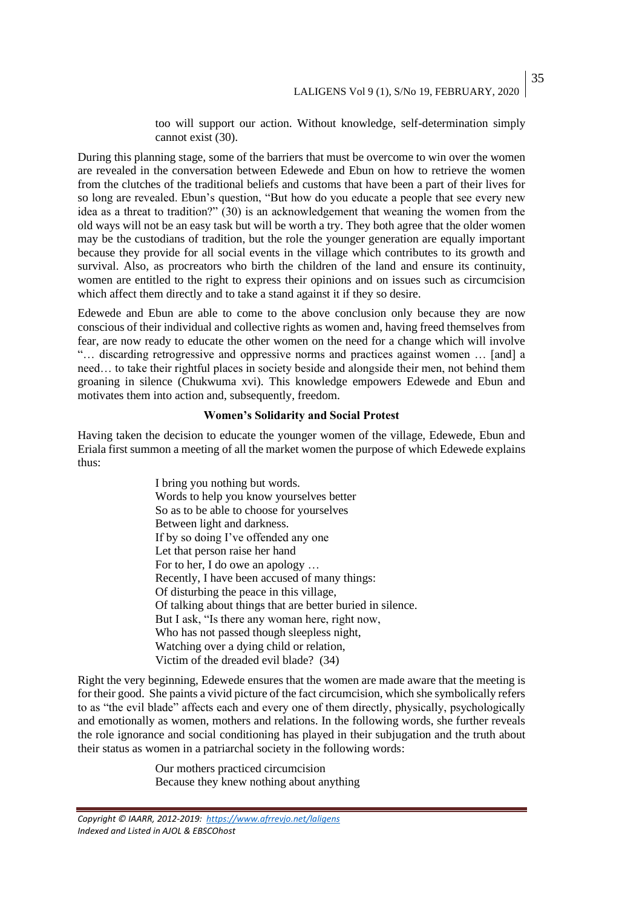too will support our action. Without knowledge, self-determination simply cannot exist (30).

During this planning stage, some of the barriers that must be overcome to win over the women are revealed in the conversation between Edewede and Ebun on how to retrieve the women from the clutches of the traditional beliefs and customs that have been a part of their lives for so long are revealed. Ebun's question, "But how do you educate a people that see every new idea as a threat to tradition?" (30) is an acknowledgement that weaning the women from the old ways will not be an easy task but will be worth a try. They both agree that the older women may be the custodians of tradition, but the role the younger generation are equally important because they provide for all social events in the village which contributes to its growth and survival. Also, as procreators who birth the children of the land and ensure its continuity, women are entitled to the right to express their opinions and on issues such as circumcision which affect them directly and to take a stand against it if they so desire.

Edewede and Ebun are able to come to the above conclusion only because they are now conscious of their individual and collective rights as women and, having freed themselves from fear, are now ready to educate the other women on the need for a change which will involve "… discarding retrogressive and oppressive norms and practices against women … [and] a need… to take their rightful places in society beside and alongside their men, not behind them groaning in silence (Chukwuma xvi). This knowledge empowers Edewede and Ebun and motivates them into action and, subsequently, freedom.

#### **Women's Solidarity and Social Protest**

Having taken the decision to educate the younger women of the village, Edewede, Ebun and Eriala first summon a meeting of all the market women the purpose of which Edewede explains thus:

> I bring you nothing but words. Words to help you know yourselves better So as to be able to choose for yourselves Between light and darkness. If by so doing I've offended any one Let that person raise her hand For to her, I do owe an apology … Recently, I have been accused of many things: Of disturbing the peace in this village, Of talking about things that are better buried in silence. But I ask, "Is there any woman here, right now, Who has not passed though sleepless night, Watching over a dying child or relation, Victim of the dreaded evil blade? (34)

Right the very beginning, Edewede ensures that the women are made aware that the meeting is for their good. She paints a vivid picture of the fact circumcision, which she symbolically refers to as "the evil blade" affects each and every one of them directly, physically, psychologically and emotionally as women, mothers and relations. In the following words, she further reveals the role ignorance and social conditioning has played in their subjugation and the truth about their status as women in a patriarchal society in the following words:

> Our mothers practiced circumcision Because they knew nothing about anything

*Copyright © IAARR, 2012-2019: <https://www.afrrevjo.net/laligens> Indexed and Listed in AJOL & EBSCOhost*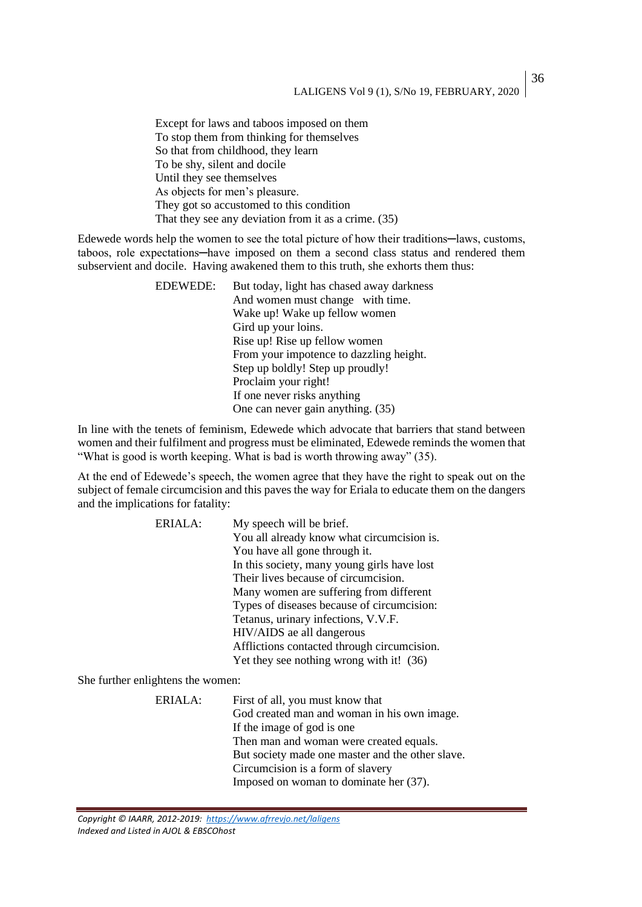Except for laws and taboos imposed on them To stop them from thinking for themselves So that from childhood, they learn To be shy, silent and docile Until they see themselves As objects for men's pleasure. They got so accustomed to this condition That they see any deviation from it as a crime. (35)

Edewede words help the women to see the total picture of how their traditions—laws, customs, taboos, role expectations-have imposed on them a second class status and rendered them subservient and docile. Having awakened them to this truth, she exhorts them thus:

| <b>EDEWEDE:</b> | But today, light has chased away darkness |
|-----------------|-------------------------------------------|
|                 | And women must change with time.          |
|                 | Wake up! Wake up fellow women             |
|                 | Gird up your loins.                       |
|                 | Rise up! Rise up fellow women             |
|                 | From your impotence to dazzling height.   |
|                 | Step up boldly! Step up proudly!          |
|                 | Proclaim your right!                      |
|                 | If one never risks anything               |
|                 | One can never gain anything. (35)         |

In line with the tenets of feminism, Edewede which advocate that barriers that stand between women and their fulfilment and progress must be eliminated, Edewede reminds the women that "What is good is worth keeping. What is bad is worth throwing away" (35).

At the end of Edewede's speech, the women agree that they have the right to speak out on the subject of female circumcision and this paves the way for Eriala to educate them on the dangers and the implications for fatality:

| ERIALA: | My speech will be brief.                    |
|---------|---------------------------------------------|
|         | You all already know what circumcision is.  |
|         | You have all gone through it.               |
|         | In this society, many young girls have lost |
|         | Their lives because of circumcision.        |
|         | Many women are suffering from different     |
|         | Types of diseases because of circumcision:  |
|         | Tetanus, urinary infections, V.V.F.         |
|         | HIV/AIDS ae all dangerous                   |
|         | Afflictions contacted through circumcision. |
|         | Yet they see nothing wrong with it! (36)    |

She further enlightens the women:

ERIALA: First of all, you must know that God created man and woman in his own image. If the image of god is one Then man and woman were created equals. But society made one master and the other slave. Circumcision is a form of slavery Imposed on woman to dominate her (37).

*Copyright © IAARR, 2012-2019: <https://www.afrrevjo.net/laligens> Indexed and Listed in AJOL & EBSCOhost*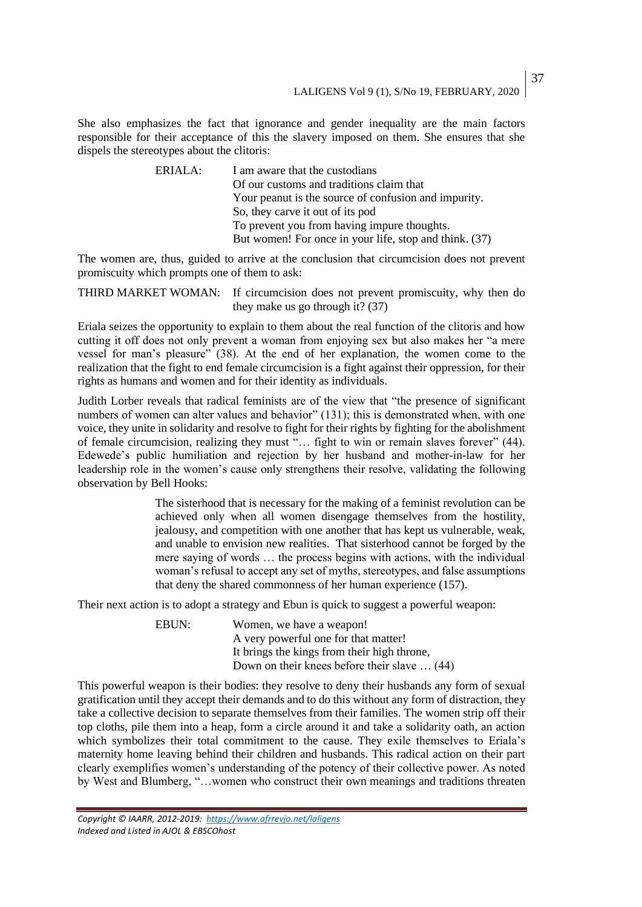She also emphasizes the fact that ignorance and gender inequality are the main factors responsible for their acceptance of this the slavery imposed on them. She ensures that she dispels the stereotypes about the clitoris:

> ERIALA: I am aware that the custodians Of our customs and traditions claim that Your peanut is the source of confusion and impurity. So, they carve it out of its pod To prevent you from having impure thoughts. But women! For once in your life, stop and think. (37)

The women are, thus, guided to arrive at the conclusion that circumcision does not prevent promiscuity which prompts one of them to ask:

THIRD MARKET WOMAN: If circumcision does not prevent promiscuity, why then do they make us go through it? (37)

Eriala seizes the opportunity to explain to them about the real function of the clitoris and how cutting it off does not only prevent a woman from enjoying sex but also makes her "a mere vessel for man's pleasure" (38). At the end of her explanation, the women come to the realization that the fight to end female circumcision is a fight against their oppression, for their rights as humans and women and for their identity as individuals.

Judith Lorber reveals that radical feminists are of the view that "the presence of significant numbers of women can alter values and behavior" (131); this is demonstrated when, with one voice, they unite in solidarity and resolve to fight for their rights by fighting for the abolishment of female circumcision, realizing they must "… fight to win or remain slaves forever" (44). Edewede's public humiliation and rejection by her husband and mother-in-law for her leadership role in the women's cause only strengthens their resolve, validating the following observation by Bell Hooks:

> The sisterhood that is necessary for the making of a feminist revolution can be achieved only when all women disengage themselves from the hostility, jealousy, and competition with one another that has kept us vulnerable, weak, and unable to envision new realities. That sisterhood cannot be forged by the mere saying of words … the process begins with actions, with the individual woman's refusal to accept any set of myths, stereotypes, and false assumptions that deny the shared commonness of her human experience (157).

Their next action is to adopt a strategy and Ebun is quick to suggest a powerful weapon:

EBUN: Women, we have a weapon! A very powerful one for that matter! It brings the kings from their high throne, Down on their knees before their slave … (44)

This powerful weapon is their bodies: they resolve to deny their husbands any form of sexual gratification until they accept their demands and to do this without any form of distraction, they take a collective decision to separate themselves from their families. The women strip off their top cloths, pile them into a heap, form a circle around it and take a solidarity oath, an action which symbolizes their total commitment to the cause. They exile themselves to Eriala's maternity home leaving behind their children and husbands. This radical action on their part clearly exemplifies women's understanding of the potency of their collective power. As noted by West and Blumberg, "…women who construct their own meanings and traditions threaten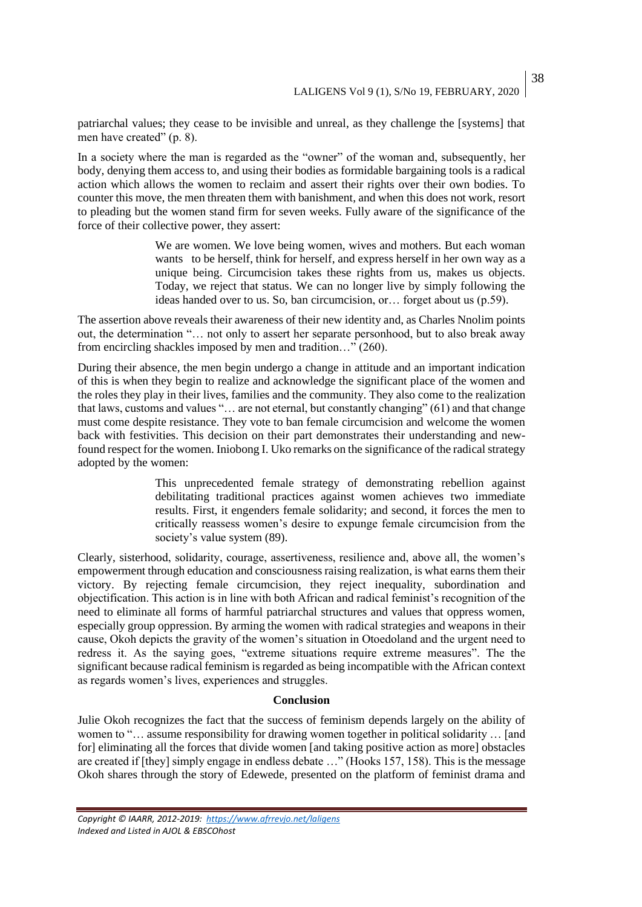patriarchal values; they cease to be invisible and unreal, as they challenge the [systems] that men have created" (p. 8).

In a society where the man is regarded as the "owner" of the woman and, subsequently, her body, denying them access to, and using their bodies as formidable bargaining tools is a radical action which allows the women to reclaim and assert their rights over their own bodies. To counter this move, the men threaten them with banishment, and when this does not work, resort to pleading but the women stand firm for seven weeks. Fully aware of the significance of the force of their collective power, they assert:

> We are women. We love being women, wives and mothers. But each woman wants to be herself, think for herself, and express herself in her own way as a unique being. Circumcision takes these rights from us, makes us objects. Today, we reject that status. We can no longer live by simply following the ideas handed over to us. So, ban circumcision, or… forget about us (p.59).

The assertion above reveals their awareness of their new identity and, as Charles Nnolim points out, the determination "… not only to assert her separate personhood, but to also break away from encircling shackles imposed by men and tradition…" (260).

During their absence, the men begin undergo a change in attitude and an important indication of this is when they begin to realize and acknowledge the significant place of the women and the roles they play in their lives, families and the community. They also come to the realization that laws, customs and values "… are not eternal, but constantly changing" (61) and that change must come despite resistance. They vote to ban female circumcision and welcome the women back with festivities. This decision on their part demonstrates their understanding and newfound respect for the women. Iniobong I. Uko remarks on the significance of the radical strategy adopted by the women:

> This unprecedented female strategy of demonstrating rebellion against debilitating traditional practices against women achieves two immediate results. First, it engenders female solidarity; and second, it forces the men to critically reassess women's desire to expunge female circumcision from the society's value system (89).

Clearly, sisterhood, solidarity, courage, assertiveness, resilience and, above all, the women's empowerment through education and consciousness raising realization, is what earns them their victory. By rejecting female circumcision, they reject inequality, subordination and objectification. This action is in line with both African and radical feminist's recognition of the need to eliminate all forms of harmful patriarchal structures and values that oppress women, especially group oppression. By arming the women with radical strategies and weapons in their cause, Okoh depicts the gravity of the women's situation in Otoedoland and the urgent need to redress it. As the saying goes, "extreme situations require extreme measures". The the significant because radical feminism is regarded as being incompatible with the African context as regards women's lives, experiences and struggles.

#### **Conclusion**

Julie Okoh recognizes the fact that the success of feminism depends largely on the ability of women to "… assume responsibility for drawing women together in political solidarity … [and for] eliminating all the forces that divide women [and taking positive action as more] obstacles are created if [they] simply engage in endless debate …" (Hooks 157, 158). This is the message Okoh shares through the story of Edewede, presented on the platform of feminist drama and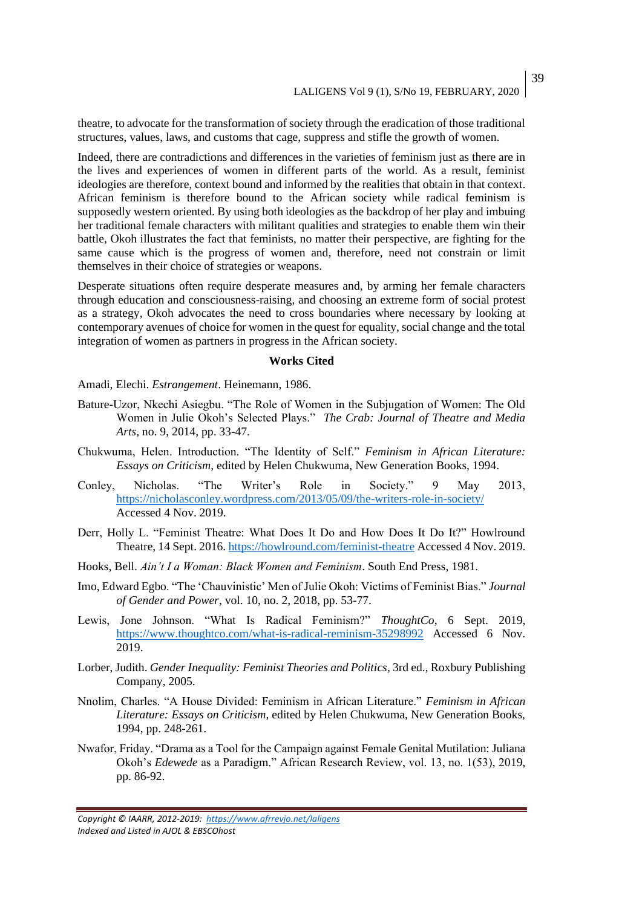theatre, to advocate for the transformation of society through the eradication of those traditional structures, values, laws, and customs that cage, suppress and stifle the growth of women.

Indeed, there are contradictions and differences in the varieties of feminism just as there are in the lives and experiences of women in different parts of the world. As a result, feminist ideologies are therefore, context bound and informed by the realities that obtain in that context. African feminism is therefore bound to the African society while radical feminism is supposedly western oriented. By using both ideologies as the backdrop of her play and imbuing her traditional female characters with militant qualities and strategies to enable them win their battle, Okoh illustrates the fact that feminists, no matter their perspective, are fighting for the same cause which is the progress of women and, therefore, need not constrain or limit themselves in their choice of strategies or weapons.

Desperate situations often require desperate measures and, by arming her female characters through education and consciousness-raising, and choosing an extreme form of social protest as a strategy, Okoh advocates the need to cross boundaries where necessary by looking at contemporary avenues of choice for women in the quest for equality, social change and the total integration of women as partners in progress in the African society.

#### **Works Cited**

Amadi, Elechi. *Estrangement*. Heinemann, 1986.

- Bature-Uzor, Nkechi Asiegbu. "The Role of Women in the Subjugation of Women: The Old Women in Julie Okoh's Selected Plays." *The Crab: Journal of Theatre and Media Arts*, no. 9, 2014, pp. 33-47.
- Chukwuma, Helen. Introduction. "The Identity of Self." *Feminism in African Literature: Essays on Criticism*, edited by Helen Chukwuma, New Generation Books, 1994.
- Conley, Nicholas. "The Writer's Role in Society." 9 May 2013, <https://nicholasconley.wordpress.com/2013/05/09/the-writers-role-in-society/> Accessed 4 Nov. 2019.
- Derr, Holly L. "Feminist Theatre: What Does It Do and How Does It Do It?" Howlround Theatre, 14 Sept. 2016.<https://howlround.com/feminist-theatre> Accessed 4 Nov. 2019.
- Hooks, Bell. *Ain't I a Woman: Black Women and Feminism*. South End Press, 1981.
- Imo, Edward Egbo. "The 'Chauvinistic' Men of Julie Okoh: Victims of Feminist Bias." *Journal of Gender and Power*, vol. 10, no. 2, 2018, pp. 53-77.
- Lewis, Jone Johnson. "What Is Radical Feminism?" *ThoughtCo*, 6 Sept. 2019, <https://www.thoughtco.com/what-is-radical-reminism-35298992> Accessed 6 Nov. 2019.
- Lorber, Judith. *Gender Inequality: Feminist Theories and Politics*, 3rd ed., Roxbury Publishing Company, 2005.
- Nnolim, Charles. "A House Divided: Feminism in African Literature." *Feminism in African Literature: Essays on Criticism*, edited by Helen Chukwuma, New Generation Books, 1994, pp. 248-261.
- Nwafor, Friday. "Drama as a Tool for the Campaign against Female Genital Mutilation: Juliana Okoh's *Edewede* as a Paradigm." African Research Review, vol. 13, no. 1(53), 2019, pp. 86-92.

*Copyright © IAARR, 2012-2019: <https://www.afrrevjo.net/laligens> Indexed and Listed in AJOL & EBSCOhost*